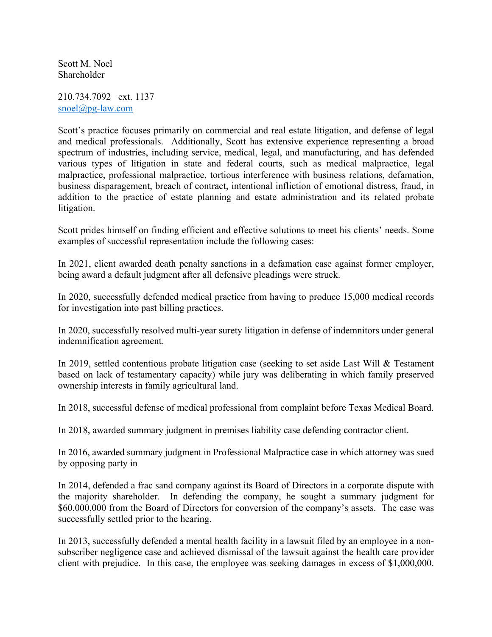Scott M. Noel Shareholder

210.734.7092 ext. 1137 snoel@pg-law.com

Scott's practice focuses primarily on commercial and real estate litigation, and defense of legal and medical professionals. Additionally, Scott has extensive experience representing a broad spectrum of industries, including service, medical, legal, and manufacturing, and has defended various types of litigation in state and federal courts, such as medical malpractice, legal malpractice, professional malpractice, tortious interference with business relations, defamation, business disparagement, breach of contract, intentional infliction of emotional distress, fraud, in addition to the practice of estate planning and estate administration and its related probate litigation.

Scott prides himself on finding efficient and effective solutions to meet his clients' needs. Some examples of successful representation include the following cases:

In 2021, client awarded death penalty sanctions in a defamation case against former employer, being award a default judgment after all defensive pleadings were struck.

In 2020, successfully defended medical practice from having to produce 15,000 medical records for investigation into past billing practices.

In 2020, successfully resolved multi-year surety litigation in defense of indemnitors under general indemnification agreement.

In 2019, settled contentious probate litigation case (seeking to set aside Last Will & Testament based on lack of testamentary capacity) while jury was deliberating in which family preserved ownership interests in family agricultural land.

In 2018, successful defense of medical professional from complaint before Texas Medical Board.

In 2018, awarded summary judgment in premises liability case defending contractor client.

In 2016, awarded summary judgment in Professional Malpractice case in which attorney was sued by opposing party in

In 2014, defended a frac sand company against its Board of Directors in a corporate dispute with the majority shareholder. In defending the company, he sought a summary judgment for \$60,000,000 from the Board of Directors for conversion of the company's assets. The case was successfully settled prior to the hearing.

In 2013, successfully defended a mental health facility in a lawsuit filed by an employee in a nonsubscriber negligence case and achieved dismissal of the lawsuit against the health care provider client with prejudice. In this case, the employee was seeking damages in excess of \$1,000,000.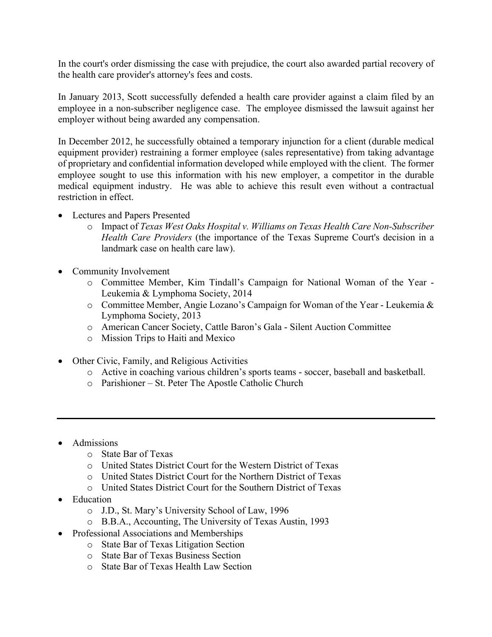In the court's order dismissing the case with prejudice, the court also awarded partial recovery of the health care provider's attorney's fees and costs.

In January 2013, Scott successfully defended a health care provider against a claim filed by an employee in a non-subscriber negligence case. The employee dismissed the lawsuit against her employer without being awarded any compensation.

In December 2012, he successfully obtained a temporary injunction for a client (durable medical equipment provider) restraining a former employee (sales representative) from taking advantage of proprietary and confidential information developed while employed with the client. The former employee sought to use this information with his new employer, a competitor in the durable medical equipment industry. He was able to achieve this result even without a contractual restriction in effect.

- Lectures and Papers Presented
	- o Impact of *Texas West Oaks Hospital v. Williams on Texas Health Care Non-Subscriber Health Care Providers* (the importance of the Texas Supreme Court's decision in a landmark case on health care law).
- Community Involvement
	- o Committee Member, Kim Tindall's Campaign for National Woman of the Year Leukemia & Lymphoma Society, 2014
	- o Committee Member, Angie Lozano's Campaign for Woman of the Year Leukemia & Lymphoma Society, 2013
	- o American Cancer Society, Cattle Baron's Gala Silent Auction Committee
	- o Mission Trips to Haiti and Mexico
- Other Civic, Family, and Religious Activities
	- o Active in coaching various children's sports teams soccer, baseball and basketball.
	- o Parishioner St. Peter The Apostle Catholic Church
- Admissions
	- o State Bar of Texas
	- o United States District Court for the Western District of Texas
	- o United States District Court for the Northern District of Texas
	- o United States District Court for the Southern District of Texas
- Education
	- o J.D., St. Mary's University School of Law, 1996
	- o B.B.A., Accounting, The University of Texas Austin, 1993
- Professional Associations and Memberships
	- o State Bar of Texas Litigation Section
	- o State Bar of Texas Business Section
	- o State Bar of Texas Health Law Section